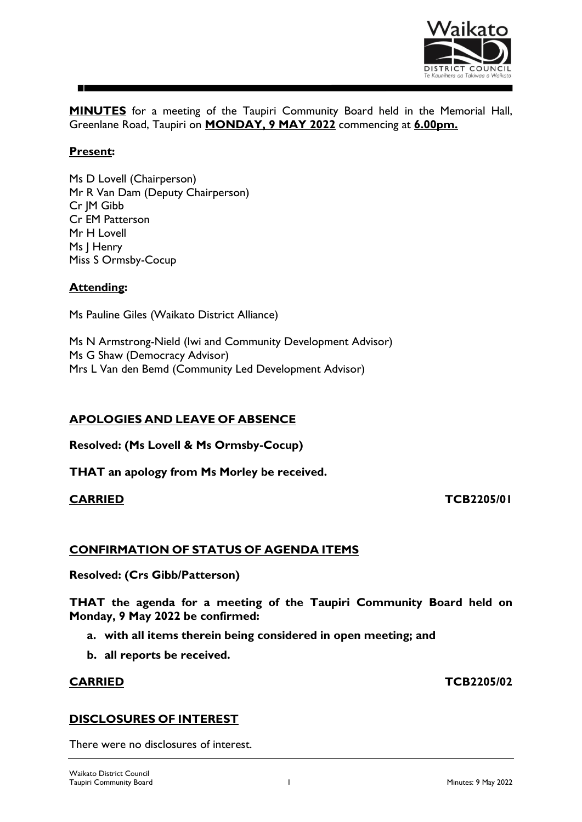

**MINUTES** for a meeting of the Taupiri Community Board held in the Memorial Hall, Greenlane Road, Taupiri on **MONDAY, 9 MAY 2022** commencing at **6.00pm.**

# **Present:**

Ms D Lovell (Chairperson) Mr R Van Dam (Deputy Chairperson) Cr JM Gibb Cr EM Patterson Mr H Lovell Ms J Henry Miss S Ormsby-Cocup

## **Attending:**

Ms Pauline Giles (Waikato District Alliance)

Ms N Armstrong-Nield (Iwi and Community Development Advisor) Ms G Shaw (Democracy Advisor) Mrs L Van den Bemd (Community Led Development Advisor)

## **APOLOGIES AND LEAVE OF ABSENCE**

**Resolved: (Ms Lovell & Ms Ormsby-Cocup)**

**THAT an apology from Ms Morley be received.**

### **CARRIED TCB2205/01**

#### **CONFIRMATION OF STATUS OF AGENDA ITEMS**

**Resolved: (Crs Gibb/Patterson)**

**THAT the agenda for a meeting of the Taupiri Community Board held on Monday, 9 May 2022 be confirmed:**

**a. with all items therein being considered in open meeting; and**

**b. all reports be received.**

#### **CARRIED TCB2205/02**

#### **DISCLOSURES OF INTEREST**

There were no disclosures of interest.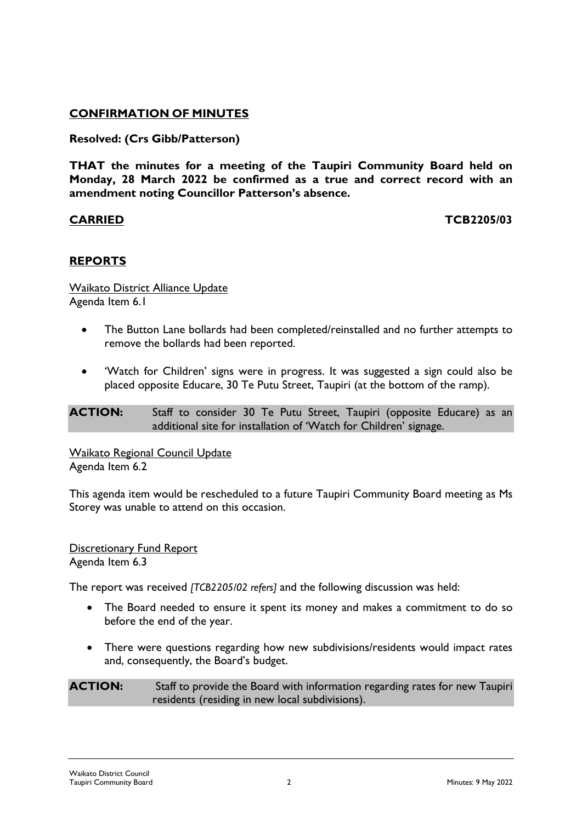# **CONFIRMATION OF MINUTES**

# **Resolved: (Crs Gibb/Patterson)**

**THAT the minutes for a meeting of the Taupiri Community Board held on Monday, 28 March 2022 be confirmed as a true and correct record with an amendment noting Councillor Patterson's absence.**

## **CARRIED TCB2205/03**

# **REPORTS**

Waikato District Alliance Update Agenda Item 6.1

- The Button Lane bollards had been completed/reinstalled and no further attempts to remove the bollards had been reported.
- 'Watch for Children' signs were in progress. It was suggested a sign could also be placed opposite Educare, 30 Te Putu Street, Taupiri (at the bottom of the ramp).

**ACTION:** Staff to consider 30 Te Putu Street, Taupiri (opposite Educare) as an additional site for installation of 'Watch for Children' signage.

Waikato Regional Council Update Agenda Item 6.2

This agenda item would be rescheduled to a future Taupiri Community Board meeting as Ms Storey was unable to attend on this occasion.

**Discretionary Fund Report** Agenda Item 6.3

The report was received *[TCB2205/02 refers]* and the following discussion was held:

- The Board needed to ensure it spent its money and makes a commitment to do so before the end of the year.
- There were questions regarding how new subdivisions/residents would impact rates and, consequently, the Board's budget.

**ACTION:** Staff to provide the Board with information regarding rates for new Taupiri residents (residing in new local subdivisions).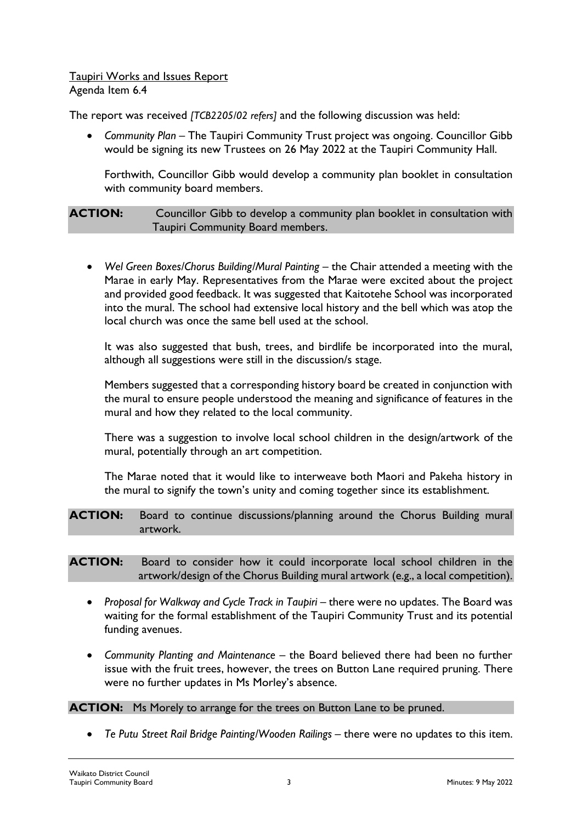## Taupiri Works and Issues Report Agenda Item 6.4

The report was received *[TCB2205/02 refers]* and the following discussion was held:

• *Community Plan* – The Taupiri Community Trust project was ongoing. Councillor Gibb would be signing its new Trustees on 26 May 2022 at the Taupiri Community Hall.

Forthwith, Councillor Gibb would develop a community plan booklet in consultation with community board members.

**ACTION:** Councillor Gibb to develop a community plan booklet in consultation with Taupiri Community Board members.

• *Wel Green Boxes/Chorus Building/Mural Painting* – the Chair attended a meeting with the Marae in early May. Representatives from the Marae were excited about the project and provided good feedback. It was suggested that Kaitotehe School was incorporated into the mural. The school had extensive local history and the bell which was atop the local church was once the same bell used at the school.

It was also suggested that bush, trees, and birdlife be incorporated into the mural, although all suggestions were still in the discussion/s stage.

Members suggested that a corresponding history board be created in conjunction with the mural to ensure people understood the meaning and significance of features in the mural and how they related to the local community.

There was a suggestion to involve local school children in the design/artwork of the mural, potentially through an art competition.

The Marae noted that it would like to interweave both Maori and Pakeha history in the mural to signify the town's unity and coming together since its establishment.

**ACTION:** Board to continue discussions/planning around the Chorus Building mural artwork.

**ACTION:** Board to consider how it could incorporate local school children in the artwork/design of the Chorus Building mural artwork (e.g., a local competition).

- Proposal for Walkway and Cycle Track in Taupiri there were no updates. The Board was waiting for the formal establishment of the Taupiri Community Trust and its potential funding avenues.
- *Community Planting and Maintenance –* the Board believed there had been no further issue with the fruit trees, however, the trees on Button Lane required pruning. There were no further updates in Ms Morley's absence.

## **ACTION:** Ms Morely to arrange for the trees on Button Lane to be pruned.

• *Te Putu Street Rail Bridge Painting/Wooden Railings –* there were no updates to this item.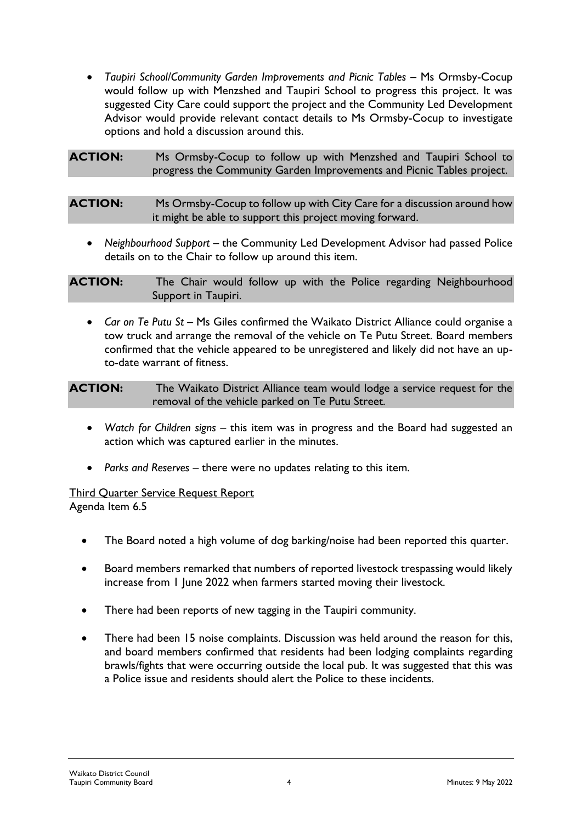• *Taupiri School/Community Garden Improvements and Picnic Tables* – Ms Ormsby-Cocup would follow up with Menzshed and Taupiri School to progress this project. It was suggested City Care could support the project and the Community Led Development Advisor would provide relevant contact details to Ms Ormsby-Cocup to investigate options and hold a discussion around this.

**ACTION:** Ms Ormsby-Cocup to follow up with Menzshed and Taupiri School to progress the Community Garden Improvements and Picnic Tables project.

**ACTION:** Ms Ormsby-Cocup to follow up with City Care for a discussion around how it might be able to support this project moving forward.

• *Neighbourhood Support –* the Community Led Development Advisor had passed Police details on to the Chair to follow up around this item.

**ACTION:** The Chair would follow up with the Police regarding Neighbourhood Support in Taupiri.

• *Car on Te Putu St* – Ms Giles confirmed the Waikato District Alliance could organise a tow truck and arrange the removal of the vehicle on Te Putu Street. Board members confirmed that the vehicle appeared to be unregistered and likely did not have an upto-date warrant of fitness.

**ACTION:** The Waikato District Alliance team would lodge a service request for the removal of the vehicle parked on Te Putu Street.

- *Watch for Children signs* this item was in progress and the Board had suggested an action which was captured earlier in the minutes.
- *Parks and Reserves –* there were no updates relating to this item.

Third Quarter Service Request Report Agenda Item 6.5

- The Board noted a high volume of dog barking/noise had been reported this quarter.
- Board members remarked that numbers of reported livestock trespassing would likely increase from 1 June 2022 when farmers started moving their livestock.
- There had been reports of new tagging in the Taupiri community.
- There had been 15 noise complaints. Discussion was held around the reason for this, and board members confirmed that residents had been lodging complaints regarding brawls/fights that were occurring outside the local pub. It was suggested that this was a Police issue and residents should alert the Police to these incidents.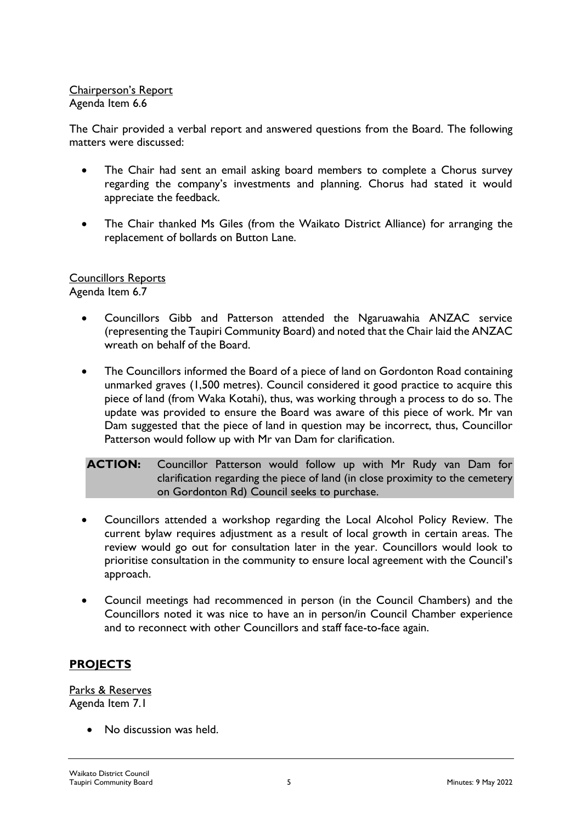# Chairperson's Report Agenda Item 6.6

The Chair provided a verbal report and answered questions from the Board. The following matters were discussed:

- The Chair had sent an email asking board members to complete a Chorus survey regarding the company's investments and planning. Chorus had stated it would appreciate the feedback.
- The Chair thanked Ms Giles (from the Waikato District Alliance) for arranging the replacement of bollards on Button Lane.

# Councillors Reports

Agenda Item 6.7

- Councillors Gibb and Patterson attended the Ngaruawahia ANZAC service (representing the Taupiri Community Board) and noted that the Chair laid the ANZAC wreath on behalf of the Board.
- The Councillors informed the Board of a piece of land on Gordonton Road containing unmarked graves (1,500 metres). Council considered it good practice to acquire this piece of land (from Waka Kotahi), thus, was working through a process to do so. The update was provided to ensure the Board was aware of this piece of work. Mr van Dam suggested that the piece of land in question may be incorrect, thus, Councillor Patterson would follow up with Mr van Dam for clarification.

**ACTION:** Councillor Patterson would follow up with Mr Rudy van Dam for clarification regarding the piece of land (in close proximity to the cemetery on Gordonton Rd) Council seeks to purchase.

- Councillors attended a workshop regarding the Local Alcohol Policy Review. The current bylaw requires adjustment as a result of local growth in certain areas. The review would go out for consultation later in the year. Councillors would look to prioritise consultation in the community to ensure local agreement with the Council's approach.
- Council meetings had recommenced in person (in the Council Chambers) and the Councillors noted it was nice to have an in person/in Council Chamber experience and to reconnect with other Councillors and staff face-to-face again.

# **PROJECTS**

Parks & Reserves Agenda Item 7.1

• No discussion was held.